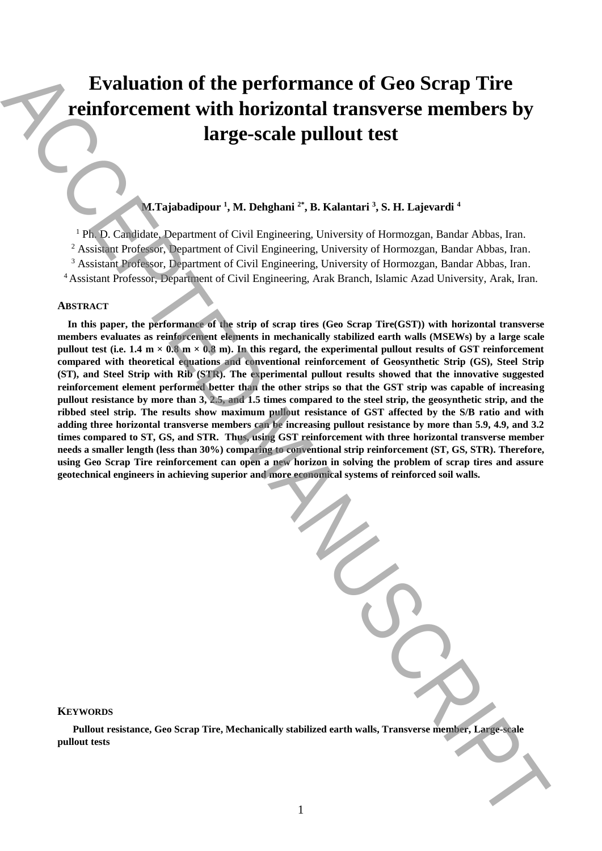# **Evaluation of the performance of Geo Scrap Tire reinforcement with horizontal transverse members by large-scale pullout test**

# **M.Tajabadipour <sup>1</sup> , M. Dehghani 2\* , B. Kalantari <sup>3</sup> , S. H. Lajevardi <sup>4</sup>**

<sup>1</sup> Ph. D. Candidate, Department of Civil Engineering, University of Hormozgan, Bandar Abbas, Iran. <sup>2</sup> Assistant Professor, Department of Civil Engineering, University of Hormozgan, Bandar Abbas, Iran. <sup>3</sup> Assistant Professor, Department of Civil Engineering, University of Hormozgan, Bandar Abbas, Iran. <sup>4</sup> Assistant Professor, Department of Civil Engineering, Arak Branch, Islamic Azad University, Arak, Iran.

# **ABSTRACT**

 **In this paper, the performance of the strip of scrap tires (Geo Scrap Tire(GST)) with horizontal transverse members evaluates as reinforcement elements in mechanically stabilized earth walls (MSEWs) by a large scale**  pullout test (i.e.  $1.4 \text{ m} \times 0.8 \text{ m} \times 0.8 \text{ m}$ ). In this regard, the experimental pullout results of GST reinforcement **compared with theoretical equations and conventional reinforcement of Geosynthetic Strip (GS), Steel Strip (ST), and Steel Strip with Rib (STR). The experimental pullout results showed that the innovative suggested reinforcement element performed better than the other strips so that the GST strip was capable of increasing pullout resistance by more than 3, 2.5, and 1.5 times compared to the steel strip, the geosynthetic strip, and the ribbed steel strip. The results show maximum pullout resistance of GST affected by the S/B ratio and with adding three horizontal transverse members can be increasing pullout resistance by more than 5.9, 4.9, and 3.2 times compared to ST, GS, and STR. Thus, using GST reinforcement with three horizontal transverse member needs a smaller length (less than 30%) comparing to conventional strip reinforcement (ST, GS, STR). Therefore, using Geo Scrap Tire reinforcement can open a new horizon in solving the problem of scrap tires and assure geotechnical engineers in achieving superior and more economical systems of reinforced soil walls. Pullout reconomist with horizontal tests** accepted to the content end with the same of Geo Scrap Tire<br> **Pullout test**<br>
AC(thomagnetic VA Debutant's B. Balantari, S. B. Letteration<br>
AC(thomagnetic VA Debutant's B. Balantar

**KEYWORDS**

 **Pullout resistance, Geo Scrap Tire, Mechanically stabilized earth walls, Transverse member, Large-scale**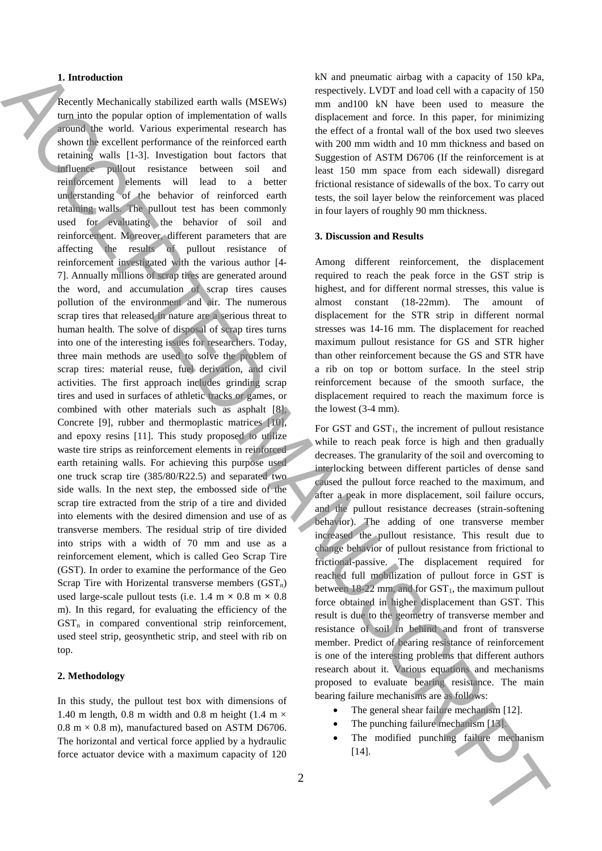#### **1. Introduction**

Recently Mechanically stabilized earth walls (MSEWs) turn into the popular option of implementation of walls around the world. Various experimental research has shown the excellent performance of the reinforced earth retaining walls [1-3]. Investigation bout factors that influence pullout resistance between soil and reinforcement elements will lead to a better understanding of the behavior of reinforced earth retaining walls. The pullout test has been commonly used for evaluating the behavior of soil and reinforcement. Moreover, different parameters that are affecting the results of pullout resistance of reinforcement investigated with the various author [4- 7]. Annually millions of scrap tires are generated around the word, and accumulation of scrap tires causes pollution of the environment and air. The numerous scrap tires that released in nature are a serious threat to human health. The solve of disposal of scrap tires turns into one of the interesting issues for researchers. Today, three main methods are used to solve the problem of scrap tires: material reuse, fuel derivation, and civil activities. The first approach includes grinding scrap tires and used in surfaces of athletic tracks or games, or combined with other materials such as asphalt [8], Concrete [9], rubber and thermoplastic matrices [10], and epoxy resins [11]. This study proposed to utilize waste tire strips as reinforcement elements in reinforced earth retaining walls. For achieving this purpose used one truck scrap tire (385/80/R22.5) and separated two side walls. In the next step, the embossed side of the scrap tire extracted from the strip of a tire and divided into elements with the desired dimension and use of as transverse members. The residual strip of tire divided into strips with a width of 70 mm and use as a reinforcement element, which is called Geo Scrap Tire (GST). In order to examine the performance of the Geo Scrap Tire with Horizental transverse members  $(GST_n)$ used large-scale pullout tests (i.e.  $1.4 \text{ m} \times 0.8 \text{ m} \times 0.8$ ) m). In this regard, for evaluating the efficiency of the  $GST<sub>n</sub>$  in compared conventional strip reinforcement, used steel strip, geosynthetic strip, and steel with rib on top. **1.** Interesting the interest of the state is the matrix of the local state is considerably under the considerably the interest of the interest of the interest of the interest of the interest of the interest of the intere

#### **2. Methodology**

In this study, the pullout test box with dimensions of 1.40 m length, 0.8 m width and 0.8 m height (1.4 m  $\times$  $0.8 \text{ m} \times 0.8 \text{ m}$ , manufactured based on ASTM D6706. The horizontal and vertical force applied by a hydraulic force actuator device with a maximum capacity of 120

kN and pneumatic airbag with a capacity of 150 kPa, respectively. LVDT and load cell with a capacity of 150 mm and100 kN have been used to measure the displacement and force. In this paper, for minimizing the effect of a frontal wall of the box used two sleeves with 200 mm width and 10 mm thickness and based on Suggestion of ASTM D6706 (If the reinforcement is at least 150 mm space from each sidewall) disregard frictional resistance of sidewalls of the box. To carry out tests, the soil layer below the reinforcement was placed in four layers of roughly 90 mm thickness.

## **3. Discussion and Results**

Among different reinforcement, the displacement required to reach the peak force in the GST strip is highest, and for different normal stresses, this value is almost constant (18-22mm). The amount of displacement for the STR strip in different normal stresses was 14-16 mm. The displacement for reached maximum pullout resistance for GS and STR higher than other reinforcement because the GS and STR have a rib on top or bottom surface. In the steel strip reinforcement because of the smooth surface, the displacement required to reach the maximum force is the lowest (3-4 mm).

For GST and  $GST<sub>1</sub>$ , the increment of pullout resistance while to reach peak force is high and then gradually decreases. The granularity of the soil and overcoming to interlocking between different particles of dense sand caused the pullout force reached to the maximum, and after a peak in more displacement, soil failure occurs, and the pullout resistance decreases (strain-softening behavior). The adding of one transverse member increased the pullout resistance. This result due to change behavior of pullout resistance from frictional to frictional-passive. The displacement required for reached full mobilization of pullout force in GST is between  $18-22$  mm, and for  $GST<sub>1</sub>$ , the maximum pullout force obtained in higher displacement than GST. This result is due to the geometry of transverse member and resistance of soil in behind and front of transverse member. Predict of bearing resistance of reinforcement is one of the interesting problems that different authors research about it. Various equations and mechanisms proposed to evaluate bearing resistance. The main bearing failure mechanisms are as follows:

- The general shear failure mechanism [12].
- The punching failure mechanism [13].
- The modified punching failure mechanism [14].